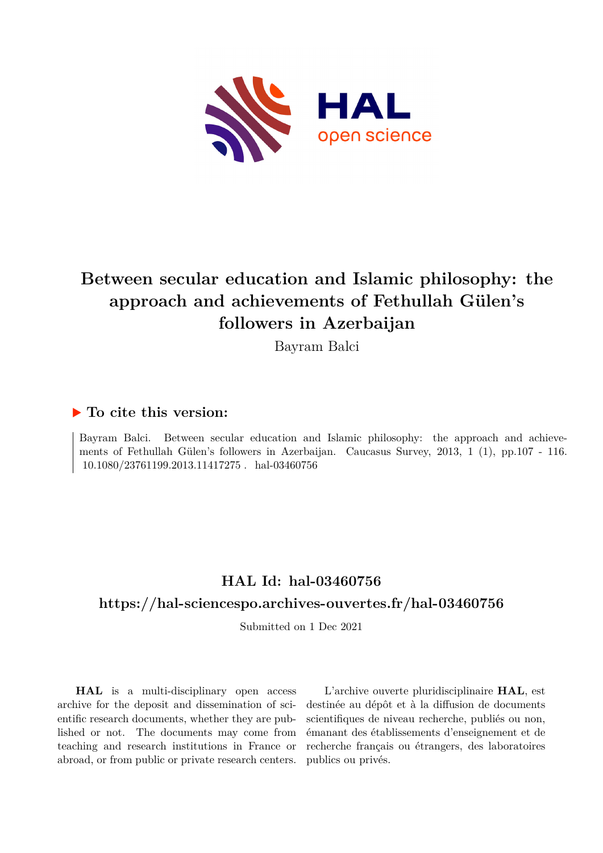

# **Between secular education and Islamic philosophy: the approach and achievements of Fethullah Gülen's followers in Azerbaijan**

Bayram Balci

### **To cite this version:**

Bayram Balci. Between secular education and Islamic philosophy: the approach and achievements of Fethullah Gülen's followers in Azerbaijan. Caucasus Survey, 2013, 1 (1), pp.107 - 116.  $10.1080/23761199.2013.11417275$ . hal-03460756

## **HAL Id: hal-03460756 <https://hal-sciencespo.archives-ouvertes.fr/hal-03460756>**

Submitted on 1 Dec 2021

**HAL** is a multi-disciplinary open access archive for the deposit and dissemination of scientific research documents, whether they are published or not. The documents may come from teaching and research institutions in France or abroad, or from public or private research centers.

L'archive ouverte pluridisciplinaire **HAL**, est destinée au dépôt et à la diffusion de documents scientifiques de niveau recherche, publiés ou non, émanant des établissements d'enseignement et de recherche français ou étrangers, des laboratoires publics ou privés.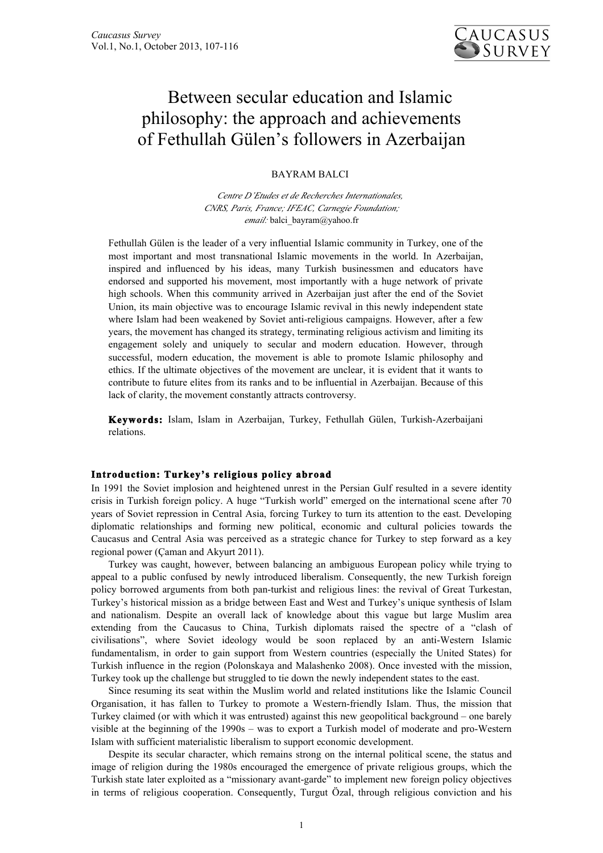

## Between secular education and Islamic philosophy: the approach and achievements of Fethullah Gülen's followers in Azerbaijan

#### BAYRAM BALCI

*Centre D'Etudes et de Recherches Internationales, CNRS, Paris, France; IFEAC, Carnegie Foundation; email:* balci\_bayram@yahoo.fr

Fethullah Gülen is the leader of a very influential Islamic community in Turkey, one of the most important and most transnational Islamic movements in the world. In Azerbaijan, inspired and influenced by his ideas, many Turkish businessmen and educators have endorsed and supported his movement, most importantly with a huge network of private high schools. When this community arrived in Azerbaijan just after the end of the Soviet Union, its main objective was to encourage Islamic revival in this newly independent state where Islam had been weakened by Soviet anti-religious campaigns. However, after a few years, the movement has changed its strategy, terminating religious activism and limiting its engagement solely and uniquely to secular and modern education. However, through successful, modern education, the movement is able to promote Islamic philosophy and ethics. If the ultimate objectives of the movement are unclear, it is evident that it wants to contribute to future elites from its ranks and to be influential in Azerbaijan. Because of this lack of clarity, the movement constantly attracts controversy.

**Keywords:** Islam, Islam in Azerbaijan, Turkey, Fethullah Gülen, Turkish-Azerbaijani relations.

#### **Introduction: Turkey's religious policy abroad**

In 1991 the Soviet implosion and heightened unrest in the Persian Gulf resulted in a severe identity crisis in Turkish foreign policy. A huge "Turkish world" emerged on the international scene after 70 years of Soviet repression in Central Asia, forcing Turkey to turn its attention to the east. Developing diplomatic relationships and forming new political, economic and cultural policies towards the Caucasus and Central Asia was perceived as a strategic chance for Turkey to step forward as a key regional power (Çaman and Akyurt 2011).

Turkey was caught, however, between balancing an ambiguous European policy while trying to appeal to a public confused by newly introduced liberalism. Consequently, the new Turkish foreign policy borrowed arguments from both pan-turkist and religious lines: the revival of Great Turkestan, Turkey's historical mission as a bridge between East and West and Turkey's unique synthesis of Islam and nationalism. Despite an overall lack of knowledge about this vague but large Muslim area extending from the Caucasus to China, Turkish diplomats raised the spectre of a "clash of civilisations", where Soviet ideology would be soon replaced by an anti-Western Islamic fundamentalism, in order to gain support from Western countries (especially the United States) for Turkish influence in the region (Polonskaya and Malashenko 2008). Once invested with the mission, Turkey took up the challenge but struggled to tie down the newly independent states to the east.

Since resuming its seat within the Muslim world and related institutions like the Islamic Council Organisation, it has fallen to Turkey to promote a Western-friendly Islam. Thus, the mission that Turkey claimed (or with which it was entrusted) against this new geopolitical background – one barely visible at the beginning of the 1990s – was to export a Turkish model of moderate and pro-Western Islam with sufficient materialistic liberalism to support economic development.

Despite its secular character, which remains strong on the internal political scene, the status and image of religion during the 1980s encouraged the emergence of private religious groups, which the Turkish state later exploited as a "missionary avant-garde" to implement new foreign policy objectives in terms of religious cooperation. Consequently, Turgut Özal, through religious conviction and his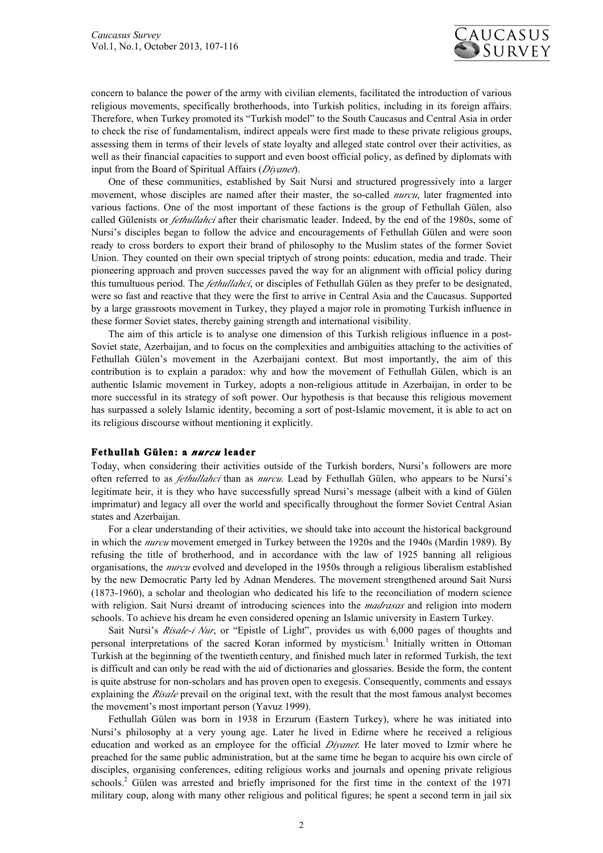

concern to balance the power of the army with civilian elements, facilitated the introduction of various religious movements, specifically brotherhoods, into Turkish politics, including in its foreign affairs. Therefore, when Turkey promoted its "Turkish model" to the South Caucasus and Central Asia in order to check the rise of fundamentalism, indirect appeals were first made to these private religious groups, assessing them in terms of their levels of state loyalty and alleged state control over their activities, as well as their financial capacities to support and even boost official policy, as defined by diplomats with input from the Board of Spiritual Affairs (*Diyanet*).

One of these communities, established by Sait Nursi and structured progressively into a larger movement, whose disciples are named after their master, the so-called *nurcu*, later fragmented into various factions. One of the most important of these factions is the group of Fethullah Gülen, also called Gülenists or *fethullahci* after their charismatic leader. Indeed, by the end of the 1980s, some of Nursi's disciples began to follow the advice and encouragements of Fethullah Gülen and were soon ready to cross borders to export their brand of philosophy to the Muslim states of the former Soviet Union. They counted on their own special triptych of strong points: education, media and trade. Their pioneering approach and proven successes paved the way for an alignment with official policy during this tumultuous period. The *fethullahci*, or disciples of Fethullah Gülen as they prefer to be designated, were so fast and reactive that they were the first to arrive in Central Asia and the Caucasus. Supported by a large grassroots movement in Turkey, they played a major role in promoting Turkish influence in these former Soviet states, thereby gaining strength and international visibility.

The aim of this article is to analyse one dimension of this Turkish religious influence in a post-Soviet state, Azerbaijan, and to focus on the complexities and ambiguities attaching to the activities of Fethullah Gülen's movement in the Azerbaijani context. But most importantly, the aim of this contribution is to explain a paradox: why and how the movement of Fethullah Gülen, which is an authentic Islamic movement in Turkey, adopts a non-religious attitude in Azerbaijan, in order to be more successful in its strategy of soft power. Our hypothesis is that because this religious movement has surpassed a solely Islamic identity, becoming a sort of post-Islamic movement, it is able to act on its religious discourse without mentioning it explicitly.

#### **Fethullah Gülen: a** *nurcu* **leader**

Today, when considering their activities outside of the Turkish borders, Nursi's followers are more often referred to as *fethullahci* than as *nurcu*. Lead by Fethullah Gülen, who appears to be Nursi's legitimate heir, it is they who have successfully spread Nursi's message (albeit with a kind of Gülen imprimatur) and legacy all over the world and specifically throughout the former Soviet Central Asian states and Azerbaijan.

For a clear understanding of their activities, we should take into account the historical background in which the *nurcu* movement emerged in Turkey between the 1920s and the 1940s (Mardin 1989). By refusing the title of brotherhood, and in accordance with the law of 1925 banning all religious organisations, the *nurcu* evolved and developed in the 1950s through a religious liberalism established by the new Democratic Party led by Adnan Menderes. The movement strengthened around Sait Nursi (1873-1960), a scholar and theologian who dedicated his life to the reconciliation of modern science with religion. Sait Nursi dreamt of introducing sciences into the *madrasas* and religion into modern schools. To achieve his dream he even considered opening an Islamic university in Eastern Turkey.

Sait Nursi's *Risale-i Nur*, or "Epistle of Light", provides us with 6,000 pages of thoughts and personal interpretations of the sacred Koran informed by mysticism.<sup>1</sup> Initially written in Ottoman Turkish at the beginning of the twentieth century, and finished much later in reformed Turkish, the text is difficult and can only be read with the aid of dictionaries and glossaries. Beside the form, the content is quite abstruse for non-scholars and has proven open to exegesis. Consequently, comments and essays explaining the *Risale* prevail on the original text, with the result that the most famous analyst becomes the movement's most important person (Yavuz 1999).

Fethullah Gülen was born in 1938 in Erzurum (Eastern Turkey), where he was initiated into Nursi's philosophy at a very young age. Later he lived in Edirne where he received a religious education and worked as an employee for the official *Diyanet*. He later moved to Izmir where he preached for the same public administration, but at the same time he began to acquire his own circle of disciples, organising conferences, editing religious works and journals and opening private religious schools.<sup>2</sup> Gülen was arrested and briefly imprisoned for the first time in the context of the 1971 military coup, along with many other religious and political figures; he spent a second term in jail six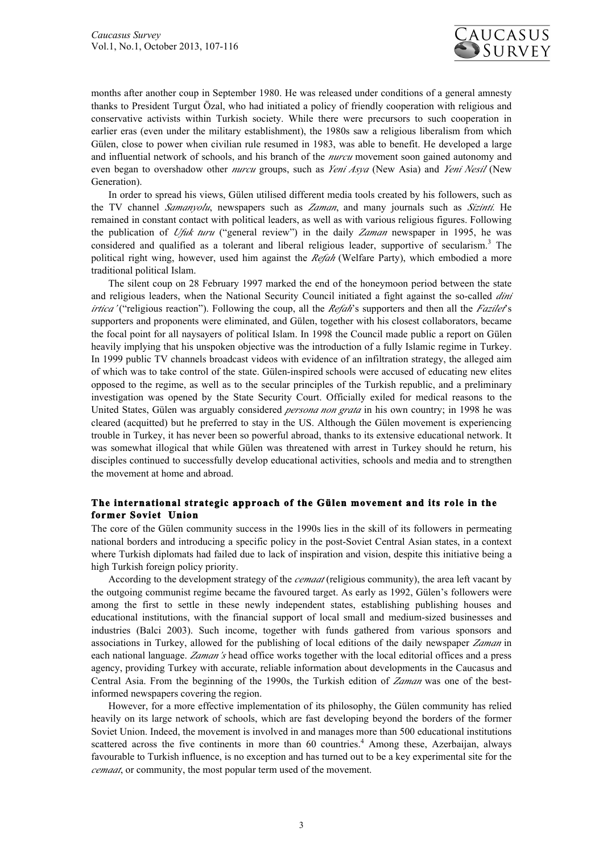

months after another coup in September 1980. He was released under conditions of a general amnesty thanks to President Turgut Özal, who had initiated a policy of friendly cooperation with religious and conservative activists within Turkish society. While there were precursors to such cooperation in earlier eras (even under the military establishment), the 1980s saw a religious liberalism from which Gülen, close to power when civilian rule resumed in 1983, was able to benefit. He developed a large and influential network of schools, and his branch of the *nurcu* movement soon gained autonomy and even began to overshadow other *nurcu* groups, such as *Yeni Asya* (New Asia) and *Yeni Nesil* (New Generation).

In order to spread his views, Gülen utilised different media tools created by his followers, such as the TV channel *Samanyolu*, newspapers such as *Zaman*, and many journals such as *Sizinti.* He remained in constant contact with political leaders, as well as with various religious figures. Following the publication of *Ufuk turu* ("general review") in the daily *Zaman* newspaper in 1995, he was considered and qualified as a tolerant and liberal religious leader, supportive of secularism.<sup>3</sup> The political right wing, however, used him against the *Refah* (Welfare Party), which embodied a more traditional political Islam.

The silent coup on 28 February 1997 marked the end of the honeymoon period between the state and religious leaders, when the National Security Council initiated a fight against the so-called *dini irtica'* ("religious reaction"). Following the coup, all the *Refah*'s supporters and then all the *Fazilet*'s supporters and proponents were eliminated, and Gülen, together with his closest collaborators, became the focal point for all naysayers of political Islam. In 1998 the Council made public a report on Gülen heavily implying that his unspoken objective was the introduction of a fully Islamic regime in Turkey. In 1999 public TV channels broadcast videos with evidence of an infiltration strategy, the alleged aim of which was to take control of the state. Gülen-inspired schools were accused of educating new elites opposed to the regime, as well as to the secular principles of the Turkish republic, and a preliminary investigation was opened by the State Security Court. Officially exiled for medical reasons to the United States, Gülen was arguably considered *persona non grata* in his own country; in 1998 he was cleared (acquitted) but he preferred to stay in the US. Although the Gülen movement is experiencing trouble in Turkey, it has never been so powerful abroad, thanks to its extensive educational network. It was somewhat illogical that while Gülen was threatened with arrest in Turkey should he return, his disciples continued to successfully develop educational activities, schools and media and to strengthen the movement at home and abroad.

#### **The international strategic approach of the Gülen movement and its role in the former Soviet Union**

The core of the Gülen community success in the 1990s lies in the skill of its followers in permeating national borders and introducing a specific policy in the post-Soviet Central Asian states, in a context where Turkish diplomats had failed due to lack of inspiration and vision, despite this initiative being a high Turkish foreign policy priority.

According to the development strategy of the *cemaat* (religious community), the area left vacant by the outgoing communist regime became the favoured target. As early as 1992, Gülen's followers were among the first to settle in these newly independent states, establishing publishing houses and educational institutions, with the financial support of local small and medium-sized businesses and industries (Balci 2003). Such income, together with funds gathered from various sponsors and associations in Turkey, allowed for the publishing of local editions of the daily newspaper *Zaman* in each national language. *Zaman's* head office works together with the local editorial offices and a press agency, providing Turkey with accurate, reliable information about developments in the Caucasus and Central Asia. From the beginning of the 1990s, the Turkish edition of *Zaman* was one of the bestinformed newspapers covering the region.

However, for a more effective implementation of its philosophy, the Gülen community has relied heavily on its large network of schools, which are fast developing beyond the borders of the former Soviet Union. Indeed, the movement is involved in and manages more than 500 educational institutions scattered across the five continents in more than 60 countries.<sup>4</sup> Among these, Azerbaijan, always favourable to Turkish influence, is no exception and has turned out to be a key experimental site for the *cemaat*, or community, the most popular term used of the movement.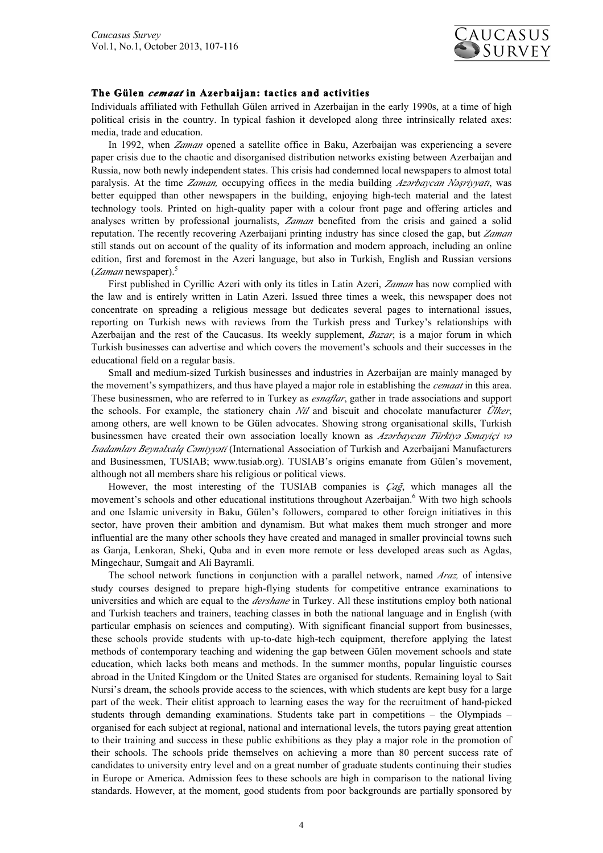

#### **The Gülen** *cemaat* **in Azerbaijan: tactics and activities**

Individuals affiliated with Fethullah Gülen arrived in Azerbaijan in the early 1990s, at a time of high political crisis in the country. In typical fashion it developed along three intrinsically related axes: media, trade and education.

In 1992, when *Zaman* opened a satellite office in Baku, Azerbaijan was experiencing a severe paper crisis due to the chaotic and disorganised distribution networks existing between Azerbaijan and Russia, now both newly independent states. This crisis had condemned local newspapers to almost total paralysis. At the time *Zaman,* occupying offices in the media building *Az!rbaycan N!şriyyatı*, was better equipped than other newspapers in the building, enjoying high-tech material and the latest technology tools. Printed on high-quality paper with a colour front page and offering articles and analyses written by professional journalists, *Zaman* benefited from the crisis and gained a solid reputation. The recently recovering Azerbaijani printing industry has since closed the gap, but *Zaman* still stands out on account of the quality of its information and modern approach, including an online edition, first and foremost in the Azeri language, but also in Turkish, English and Russian versions (*Zaman* newspaper).<sup>5</sup>

First published in Cyrillic Azeri with only its titles in Latin Azeri, *Zaman* has now complied with the law and is entirely written in Latin Azeri. Issued three times a week, this newspaper does not concentrate on spreading a religious message but dedicates several pages to international issues, reporting on Turkish news with reviews from the Turkish press and Turkey's relationships with Azerbaijan and the rest of the Caucasus. Its weekly supplement, *Bazar*, is a major forum in which Turkish businesses can advertise and which covers the movement's schools and their successes in the educational field on a regular basis.

Small and medium-sized Turkish businesses and industries in Azerbaijan are mainly managed by the movement's sympathizers, and thus have played a major role in establishing the *cemaat* in this area. These businessmen, who are referred to in Turkey as *esnaflar*, gather in trade associations and support the schools. For example, the stationery chain *Nil* and biscuit and chocolate manufacturer *Ülker*, among others, are well known to be Gülen advocates. Showing strong organisational skills, Turkish businessmen have created their own association locally known as *Azarbaycan Türkiya Sanayiçi va Isadamları Beyn!lxalq C!miyy!ti* (International Association of Turkish and Azerbaijani Manufacturers and Businessmen, TUSIAB; www.tusiab.org). TUSIAB's origins emanate from Gülen's movement, although not all members share his religious or political views.

However, the most interesting of the TUSIAB companies is *Çağ*, which manages all the movement's schools and other educational institutions throughout Azerbaijan.<sup>6</sup> With two high schools and one Islamic university in Baku, Gülen's followers, compared to other foreign initiatives in this sector, have proven their ambition and dynamism. But what makes them much stronger and more influential are the many other schools they have created and managed in smaller provincial towns such as Ganja, Lenkoran, Sheki, Quba and in even more remote or less developed areas such as Agdas, Mingechaur, Sumgait and Ali Bayramli.

The school network functions in conjunction with a parallel network, named *Araz,* of intensive study courses designed to prepare high-flying students for competitive entrance examinations to universities and which are equal to the *dershane* in Turkey. All these institutions employ both national and Turkish teachers and trainers, teaching classes in both the national language and in English (with particular emphasis on sciences and computing). With significant financial support from businesses, these schools provide students with up-to-date high-tech equipment, therefore applying the latest methods of contemporary teaching and widening the gap between Gülen movement schools and state education, which lacks both means and methods. In the summer months, popular linguistic courses abroad in the United Kingdom or the United States are organised for students. Remaining loyal to Sait Nursi's dream, the schools provide access to the sciences, with which students are kept busy for a large part of the week. Their elitist approach to learning eases the way for the recruitment of hand-picked students through demanding examinations. Students take part in competitions – the Olympiads – organised for each subject at regional, national and international levels, the tutors paying great attention to their training and success in these public exhibitions as they play a major role in the promotion of their schools. The schools pride themselves on achieving a more than 80 percent success rate of candidates to university entry level and on a great number of graduate students continuing their studies in Europe or America. Admission fees to these schools are high in comparison to the national living standards. However, at the moment, good students from poor backgrounds are partially sponsored by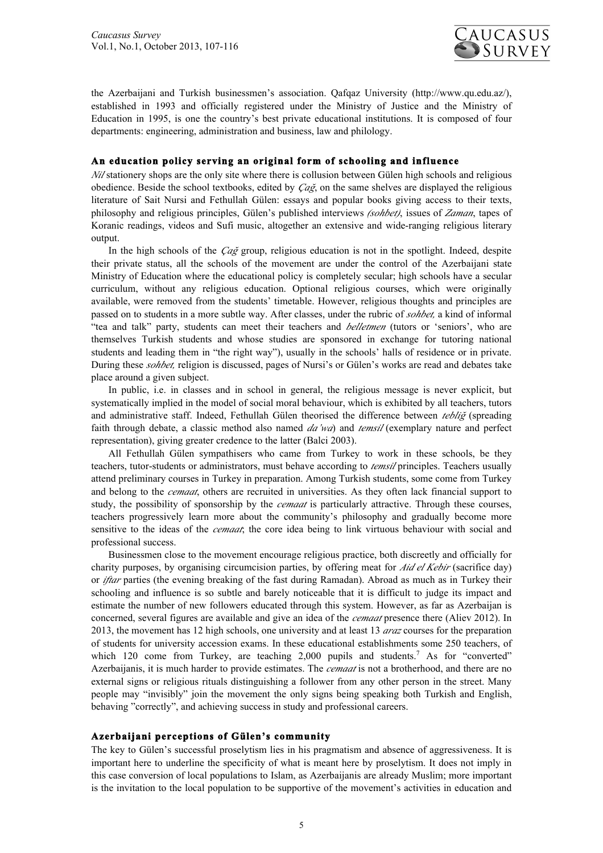

the Azerbaijani and Turkish businessmen's association. Qafqaz University (http://www.qu.edu.az/), established in 1993 and officially registered under the Ministry of Justice and the Ministry of Education in 1995, is one the country's best private educational institutions. It is composed of four departments: engineering, administration and business, law and philology.

#### **An education policy serving an original form of schooling and influence**

*Nil* stationery shops are the only site where there is collusion between Gülen high schools and religious obedience. Beside the school textbooks, edited by *Çağ*, on the same shelves are displayed the religious literature of Sait Nursi and Fethullah Gülen: essays and popular books giving access to their texts, philosophy and religious principles, Gülen's published interviews *(sohbet)*, issues of *Zaman*, tapes of Koranic readings, videos and Sufi music, altogether an extensive and wide-ranging religious literary output.

In the high schools of the *Çağ* group, religious education is not in the spotlight. Indeed, despite their private status, all the schools of the movement are under the control of the Azerbaijani state Ministry of Education where the educational policy is completely secular; high schools have a secular curriculum, without any religious education. Optional religious courses, which were originally available, were removed from the students' timetable. However, religious thoughts and principles are passed on to students in a more subtle way. After classes, under the rubric of *sohbet,* a kind of informal "tea and talk" party, students can meet their teachers and *belletmen* (tutors or 'seniors', who are themselves Turkish students and whose studies are sponsored in exchange for tutoring national students and leading them in "the right way"), usually in the schools' halls of residence or in private. During these *sohbet,* religion is discussed, pages of Nursi's or Gülen's works are read and debates take place around a given subject.

In public, i.e. in classes and in school in general, the religious message is never explicit, but systematically implied in the model of social moral behaviour, which is exhibited by all teachers, tutors and administrative staff. Indeed, Fethullah Gülen theorised the difference between *tebliğ* (spreading faith through debate, a classic method also named *da'wa*) and *temsil* (exemplary nature and perfect representation), giving greater credence to the latter (Balci 2003).

All Fethullah Gülen sympathisers who came from Turkey to work in these schools, be they teachers, tutor-students or administrators, must behave according to *temsil* principles. Teachers usually attend preliminary courses in Turkey in preparation. Among Turkish students, some come from Turkey and belong to the *cemaat*, others are recruited in universities. As they often lack financial support to study, the possibility of sponsorship by the *cemaat* is particularly attractive. Through these courses, teachers progressively learn more about the community's philosophy and gradually become more sensitive to the ideas of the *cemaat*; the core idea being to link virtuous behaviour with social and professional success.

Businessmen close to the movement encourage religious practice, both discreetly and officially for charity purposes, by organising circumcision parties, by offering meat for *Aid el Kebir* (sacrifice day) or *iftar* parties (the evening breaking of the fast during Ramadan). Abroad as much as in Turkey their schooling and influence is so subtle and barely noticeable that it is difficult to judge its impact and estimate the number of new followers educated through this system. However, as far as Azerbaijan is concerned, several figures are available and give an idea of the *cemaat* presence there (Aliev 2012). In 2013, the movement has 12 high schools, one university and at least 13 *araz* courses for the preparation of students for university accession exams. In these educational establishments some 250 teachers, of which 120 come from Turkey, are teaching  $2,000$  pupils and students.<sup>7</sup> As for "converted" Azerbaijanis, it is much harder to provide estimates. The *cemaat* is not a brotherhood, and there are no external signs or religious rituals distinguishing a follower from any other person in the street. Many people may "invisibly" join the movement the only signs being speaking both Turkish and English, behaving "correctly", and achieving success in study and professional careers.

#### **Azerbaijani perceptions of Gülen's community**

The key to Gülen's successful proselytism lies in his pragmatism and absence of aggressiveness. It is important here to underline the specificity of what is meant here by proselytism. It does not imply in this case conversion of local populations to Islam, as Azerbaijanis are already Muslim; more important is the invitation to the local population to be supportive of the movement's activities in education and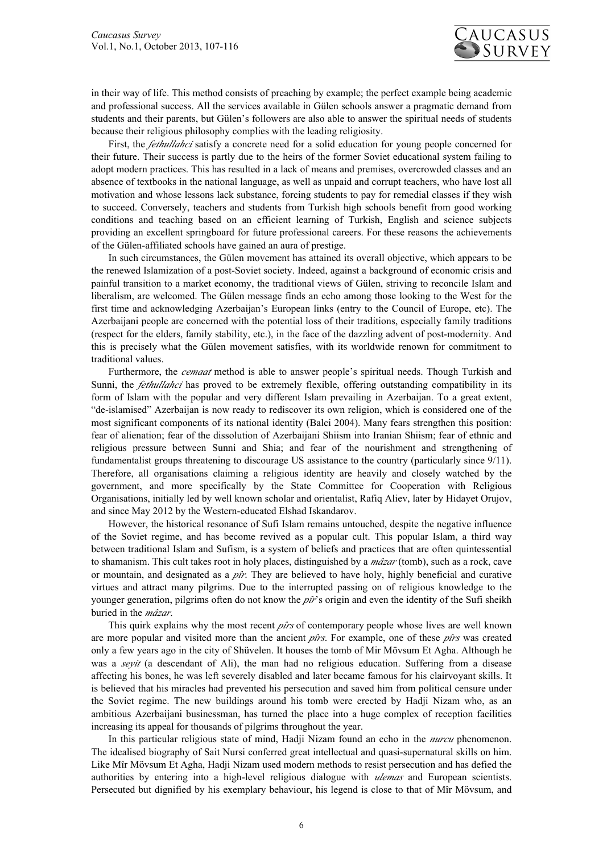

in their way of life. This method consists of preaching by example; the perfect example being academic and professional success. All the services available in Gülen schools answer a pragmatic demand from students and their parents, but Gülen's followers are also able to answer the spiritual needs of students because their religious philosophy complies with the leading religiosity.

First, the *fethullahci* satisfy a concrete need for a solid education for young people concerned for their future. Their success is partly due to the heirs of the former Soviet educational system failing to adopt modern practices. This has resulted in a lack of means and premises, overcrowded classes and an absence of textbooks in the national language, as well as unpaid and corrupt teachers, who have lost all motivation and whose lessons lack substance, forcing students to pay for remedial classes if they wish to succeed. Conversely, teachers and students from Turkish high schools benefit from good working conditions and teaching based on an efficient learning of Turkish, English and science subjects providing an excellent springboard for future professional careers. For these reasons the achievements of the Gülen-affiliated schools have gained an aura of prestige.

In such circumstances, the Gülen movement has attained its overall objective, which appears to be the renewed Islamization of a post-Soviet society. Indeed, against a background of economic crisis and painful transition to a market economy, the traditional views of Gülen, striving to reconcile Islam and liberalism, are welcomed. The Gülen message finds an echo among those looking to the West for the first time and acknowledging Azerbaijan's European links (entry to the Council of Europe, etc). The Azerbaijani people are concerned with the potential loss of their traditions, especially family traditions (respect for the elders, family stability, etc.), in the face of the dazzling advent of post-modernity. And this is precisely what the Gülen movement satisfies, with its worldwide renown for commitment to traditional values.

Furthermore, the *cemaat* method is able to answer people's spiritual needs. Though Turkish and Sunni, the *fethullahci* has proved to be extremely flexible, offering outstanding compatibility in its form of Islam with the popular and very different Islam prevailing in Azerbaijan. To a great extent, "de-islamised" Azerbaijan is now ready to rediscover its own religion, which is considered one of the most significant components of its national identity (Balci 2004). Many fears strengthen this position: fear of alienation; fear of the dissolution of Azerbaijani Shiism into Iranian Shiism; fear of ethnic and religious pressure between Sunni and Shia; and fear of the nourishment and strengthening of fundamentalist groups threatening to discourage US assistance to the country (particularly since 9/11). Therefore, all organisations claiming a religious identity are heavily and closely watched by the government, and more specifically by the State Committee for Cooperation with Religious Organisations, initially led by well known scholar and orientalist, Rafiq Aliev, later by Hidayet Orujov, and since May 2012 by the Western-educated Elshad Iskandarov.

However, the historical resonance of Sufi Islam remains untouched, despite the negative influence of the Soviet regime, and has become revived as a popular cult. This popular Islam, a third way between traditional Islam and Sufism, is a system of beliefs and practices that are often quintessential to shamanism. This cult takes root in holy places, distinguished by a *mâzar* (tomb), such as a rock, cave or mountain, and designated as a *pîr*. They are believed to have holy, highly beneficial and curative virtues and attract many pilgrims. Due to the interrupted passing on of religious knowledge to the younger generation, pilgrims often do not know the *pîr*'s origin and even the identity of the Sufi sheikh buried in the *mâzar*.

This quirk explains why the most recent *pîrs* of contemporary people whose lives are well known are more popular and visited more than the ancient *pîrs*. For example, one of these *pîrs* was created only a few years ago in the city of Shüvelen. It houses the tomb of Mir Mövsum Et Agha. Although he was a *seyit* (a descendant of Ali), the man had no religious education. Suffering from a disease affecting his bones, he was left severely disabled and later became famous for his clairvoyant skills. It is believed that his miracles had prevented his persecution and saved him from political censure under the Soviet regime. The new buildings around his tomb were erected by Hadji Nizam who, as an ambitious Azerbaijani businessman, has turned the place into a huge complex of reception facilities increasing its appeal for thousands of pilgrims throughout the year.

In this particular religious state of mind, Hadji Nizam found an echo in the *nurcu* phenomenon. The idealised biography of Sait Nursi conferred great intellectual and quasi-supernatural skills on him. Like Mîr Mövsum Et Agha, Hadji Nizam used modern methods to resist persecution and has defied the authorities by entering into a high-level religious dialogue with *ulemas* and European scientists. Persecuted but dignified by his exemplary behaviour, his legend is close to that of Mîr Mövsum, and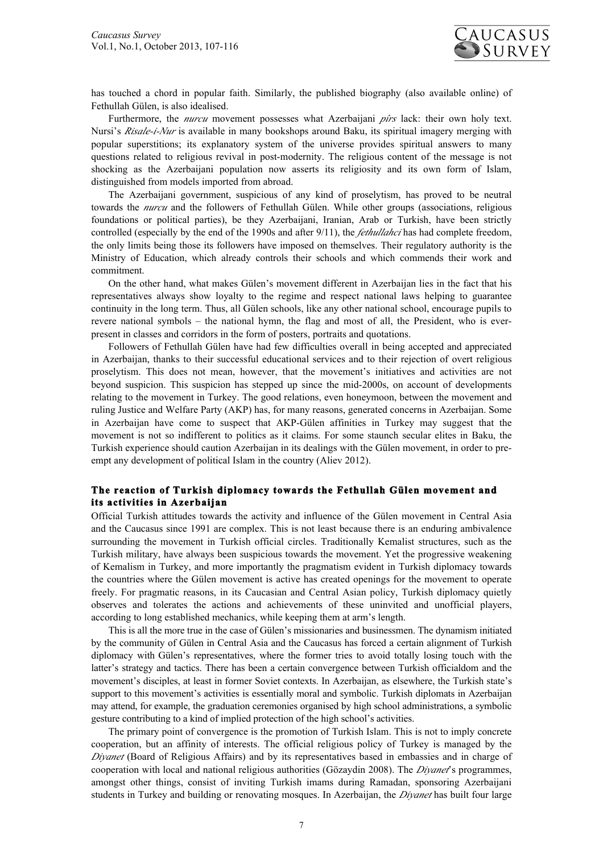

has touched a chord in popular faith. Similarly, the published biography (also available online) of Fethullah Gülen, is also idealised.

Furthermore, the *nurcu* movement possesses what Azerbaijani *pîrs* lack: their own holy text. Nursi's *Risale-i-Nur* is available in many bookshops around Baku, its spiritual imagery merging with popular superstitions; its explanatory system of the universe provides spiritual answers to many questions related to religious revival in post-modernity. The religious content of the message is not shocking as the Azerbaijani population now asserts its religiosity and its own form of Islam, distinguished from models imported from abroad.

The Azerbaijani government, suspicious of any kind of proselytism, has proved to be neutral towards the *nurcu* and the followers of Fethullah Gülen. While other groups (associations, religious foundations or political parties), be they Azerbaijani, Iranian, Arab or Turkish, have been strictly controlled (especially by the end of the 1990s and after 9/11), the *fethullahci* has had complete freedom, the only limits being those its followers have imposed on themselves. Their regulatory authority is the Ministry of Education, which already controls their schools and which commends their work and commitment.

On the other hand, what makes Gülen's movement different in Azerbaijan lies in the fact that his representatives always show loyalty to the regime and respect national laws helping to guarantee continuity in the long term. Thus, all Gülen schools, like any other national school, encourage pupils to revere national symbols – the national hymn, the flag and most of all, the President, who is everpresent in classes and corridors in the form of posters, portraits and quotations.

Followers of Fethullah Gülen have had few difficulties overall in being accepted and appreciated in Azerbaijan, thanks to their successful educational services and to their rejection of overt religious proselytism. This does not mean, however, that the movement's initiatives and activities are not beyond suspicion. This suspicion has stepped up since the mid-2000s, on account of developments relating to the movement in Turkey. The good relations, even honeymoon, between the movement and ruling Justice and Welfare Party (AKP) has, for many reasons, generated concerns in Azerbaijan. Some in Azerbaijan have come to suspect that AKP-Gülen affinities in Turkey may suggest that the movement is not so indifferent to politics as it claims. For some staunch secular elites in Baku, the Turkish experience should caution Azerbaijan in its dealings with the Gülen movement, in order to preempt any development of political Islam in the country (Aliev 2012).

#### **The reaction of Turkish diplomacy towards the Fethullah Gülen movement and its activities in Azerbaijan**

Official Turkish attitudes towards the activity and influence of the Gülen movement in Central Asia and the Caucasus since 1991 are complex. This is not least because there is an enduring ambivalence surrounding the movement in Turkish official circles. Traditionally Kemalist structures, such as the Turkish military, have always been suspicious towards the movement. Yet the progressive weakening of Kemalism in Turkey, and more importantly the pragmatism evident in Turkish diplomacy towards the countries where the Gülen movement is active has created openings for the movement to operate freely. For pragmatic reasons, in its Caucasian and Central Asian policy, Turkish diplomacy quietly observes and tolerates the actions and achievements of these uninvited and unofficial players, according to long established mechanics, while keeping them at arm's length.

This is all the more true in the case of Gülen's missionaries and businessmen. The dynamism initiated by the community of Gülen in Central Asia and the Caucasus has forced a certain alignment of Turkish diplomacy with Gülen's representatives, where the former tries to avoid totally losing touch with the latter's strategy and tactics. There has been a certain convergence between Turkish officialdom and the movement's disciples, at least in former Soviet contexts. In Azerbaijan, as elsewhere, the Turkish state's support to this movement's activities is essentially moral and symbolic. Turkish diplomats in Azerbaijan may attend, for example, the graduation ceremonies organised by high school administrations, a symbolic gesture contributing to a kind of implied protection of the high school's activities.

The primary point of convergence is the promotion of Turkish Islam. This is not to imply concrete cooperation, but an affinity of interests. The official religious policy of Turkey is managed by the *Diyanet* (Board of Religious Affairs) and by its representatives based in embassies and in charge of cooperation with local and national religious authorities (Gözaydin 2008). The *Diyanet*'s programmes, amongst other things, consist of inviting Turkish imams during Ramadan, sponsoring Azerbaijani students in Turkey and building or renovating mosques. In Azerbaijan, the *Diyanet* has built four large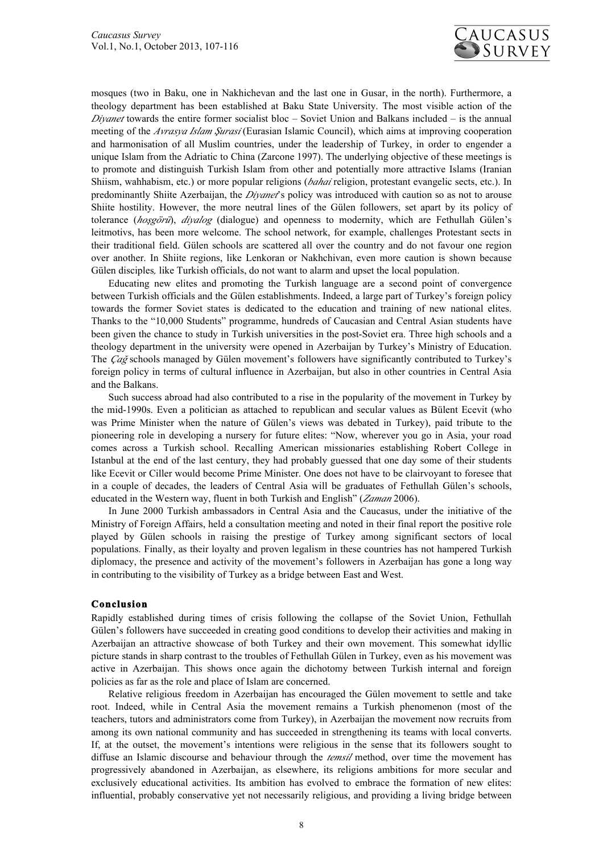

mosques (two in Baku, one in Nakhichevan and the last one in Gusar, in the north). Furthermore, a theology department has been established at Baku State University. The most visible action of the *Diyanet* towards the entire former socialist bloc – Soviet Union and Balkans included – is the annual meeting of the *Avrasya Islam Surasi* (Eurasian Islamic Council), which aims at improving cooperation and harmonisation of all Muslim countries, under the leadership of Turkey, in order to engender a unique Islam from the Adriatic to China (Zarcone 1997). The underlying objective of these meetings is to promote and distinguish Turkish Islam from other and potentially more attractive Islams (Iranian Shiism, wahhabism, etc.) or more popular religions (*bahai* religion, protestant evangelic sects, etc.). In predominantly Shiite Azerbaijan, the *Diyanet*'s policy was introduced with caution so as not to arouse Shiite hostility. However, the more neutral lines of the Gülen followers, set apart by its policy of tolerance (*hoşgörü*), *diyalog* (dialogue) and openness to modernity, which are Fethullah Gülen's leitmotivs, has been more welcome. The school network, for example, challenges Protestant sects in their traditional field. Gülen schools are scattered all over the country and do not favour one region over another. In Shiite regions, like Lenkoran or Nakhchivan, even more caution is shown because Gülen disciples*,* like Turkish officials, do not want to alarm and upset the local population.

Educating new elites and promoting the Turkish language are a second point of convergence between Turkish officials and the Gülen establishments. Indeed, a large part of Turkey's foreign policy towards the former Soviet states is dedicated to the education and training of new national elites. Thanks to the "10,000 Students" programme, hundreds of Caucasian and Central Asian students have been given the chance to study in Turkish universities in the post-Soviet era. Three high schools and a theology department in the university were opened in Azerbaijan by Turkey's Ministry of Education. The *Çağ* schools managed by Gülen movement's followers have significantly contributed to Turkey's foreign policy in terms of cultural influence in Azerbaijan, but also in other countries in Central Asia and the Balkans.

Such success abroad had also contributed to a rise in the popularity of the movement in Turkey by the mid-1990s. Even a politician as attached to republican and secular values as Bülent Ecevit (who was Prime Minister when the nature of Gülen's views was debated in Turkey), paid tribute to the pioneering role in developing a nursery for future elites: "Now, wherever you go in Asia, your road comes across a Turkish school. Recalling American missionaries establishing Robert College in Istanbul at the end of the last century, they had probably guessed that one day some of their students like Ecevit or Ciller would become Prime Minister. One does not have to be clairvoyant to foresee that in a couple of decades, the leaders of Central Asia will be graduates of Fethullah Gülen's schools, educated in the Western way, fluent in both Turkish and English" (*Zaman* 2006).

In June 2000 Turkish ambassadors in Central Asia and the Caucasus, under the initiative of the Ministry of Foreign Affairs, held a consultation meeting and noted in their final report the positive role played by Gülen schools in raising the prestige of Turkey among significant sectors of local populations. Finally, as their loyalty and proven legalism in these countries has not hampered Turkish diplomacy, the presence and activity of the movement's followers in Azerbaijan has gone a long way in contributing to the visibility of Turkey as a bridge between East and West.

#### **Conclusion**

Rapidly established during times of crisis following the collapse of the Soviet Union, Fethullah Gülen's followers have succeeded in creating good conditions to develop their activities and making in Azerbaijan an attractive showcase of both Turkey and their own movement. This somewhat idyllic picture stands in sharp contrast to the troubles of Fethullah Gülen in Turkey, even as his movement was active in Azerbaijan. This shows once again the dichotomy between Turkish internal and foreign policies as far as the role and place of Islam are concerned.

Relative religious freedom in Azerbaijan has encouraged the Gülen movement to settle and take root. Indeed, while in Central Asia the movement remains a Turkish phenomenon (most of the teachers, tutors and administrators come from Turkey), in Azerbaijan the movement now recruits from among its own national community and has succeeded in strengthening its teams with local converts. If, at the outset, the movement's intentions were religious in the sense that its followers sought to diffuse an Islamic discourse and behaviour through the *temsil* method, over time the movement has progressively abandoned in Azerbaijan, as elsewhere, its religions ambitions for more secular and exclusively educational activities. Its ambition has evolved to embrace the formation of new elites: influential, probably conservative yet not necessarily religious, and providing a living bridge between